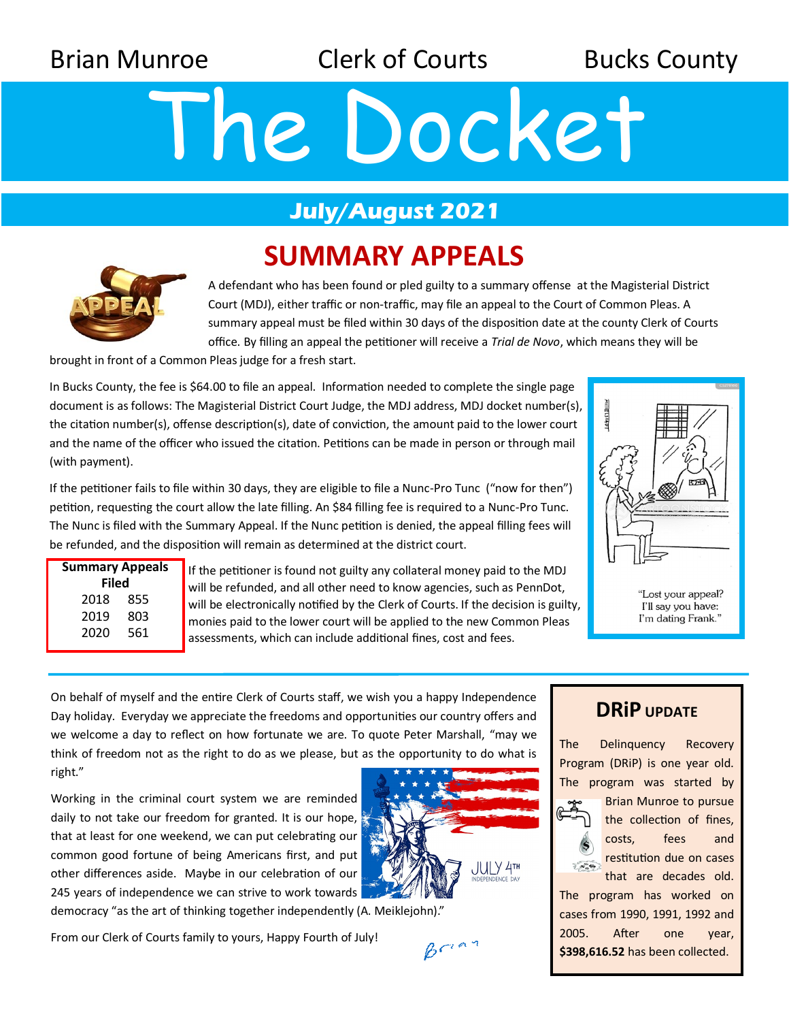Brian Munroe **Clerk of Courts** Bucks County

# The Docket

## **July/August 2021**

# **SUMMARY APPEALS**



A defendant who has been found or pled guilty to a summary offense at the Magisterial District Court (MDJ), either traffic or non-traffic, may file an appeal to the Court of Common Pleas. A summary appeal must be filed within 30 days of the disposition date at the county Clerk of Courts office. By filling an appeal the petitioner will receive a *Trial de Novo*, which means they will be

brought in front of a Common Pleas judge for a fresh start.

In Bucks County, the fee is \$64.00 to file an appeal. Information needed to complete the single page document is as follows: The Magisterial District Court Judge, the MDJ address, MDJ docket number(s), the citation number(s), offense description(s), date of conviction, the amount paid to the lower court and the name of the officer who issued the citation. Petitions can be made in person or through mail (with payment).

If the petitioner fails to file within 30 days, they are eligible to file a Nunc-Pro Tunc ("now for then") petition, requesting the court allow the late filling. An \$84 filling fee is required to a Nunc-Pro Tunc. The Nunc is filed with the Summary Appeal. If the Nunc petition is denied, the appeal filling fees will be refunded, and the disposition will remain as determined at the district court.

| <b>Summary Appeals</b><br>Filed |     |
|---------------------------------|-----|
| 2018                            | 855 |
| 2019                            | 803 |
| 2020                            | 561 |
|                                 |     |

If the petitioner is found not guilty any collateral money paid to the MDJ will be refunded, and all other need to know agencies, such as PennDot, will be electronically notified by the Clerk of Courts. If the decision is guilty, monies paid to the lower court will be applied to the new Common Pleas assessments, which can include additional fines, cost and fees.



"Lost your appeal? I'll say you have: I'm dating Frank."

On behalf of myself and the entire Clerk of Courts staff, we wish you a happy Independence Day holiday. Everyday we appreciate the freedoms and opportunities our country offers and we welcome a day to reflect on how fortunate we are. To quote Peter Marshall, "may we think of freedom not as the right to do as we please, but as the opportunity to do what is right."

Working in the criminal court system we are reminded daily to not take our freedom for granted. It is our hope, that at least for one weekend, we can put celebrating our common good fortune of being Americans first, and put other differences aside. Maybe in our celebration of our 245 years of independence we can strive to work towards democracy "as the art of thinking together independently (A. Meiklejohn)."





 $B<sup>1</sup>$ 

### **DRiP UPDATE**

The Delinquency Recovery Program (DRiP) is one year old. The program was started by



Brian Munroe to pursue the collection of fines, costs, fees and restitution due on cases that are decades old.

The program has worked on cases from 1990, 1991, 1992 and 2005. After one year, **\$398,616.52** has been collected.